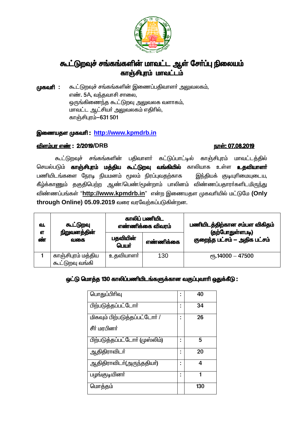

# கூட்டுறவுச் சங்கங்களின் மாவட்ட ஆள் சேர்ப்பு நிலையம் .<br>காஞ்சிபுரம் மாவட்டம்

கூட்டுறவச் சங்கங்களின் இணைப்பகிவாளர் அலுவலகம். முகவரி : எண். 5A, வந்தவாசி சாலை, ஒருங்கிணைந்த கூட்டுறவு அலுவலக வளாகம், மாவட்ட ஆட்சியர் அலுவலகம் எதிரில், காஞ்சிபாம்-631 501

#### இணையதள முகவரி: http://www.kpmdrb.in

#### விளம்பர எண்: 2/2019/DRB

#### <u>நாள்: 07.08.2019</u>

கூட்டுறவுச் சங்கங்களின் பதிவாளர் கட்டுப்பாட்டில் காஞ்சிபுரம் மாவட்டத்தில் செயல்படும் **காஞ்சிபுரம் மத்திய கூட்டுறவு வங்கியில்** காலியாக உள்ள **உதவியாளா்** பணியிடங்களை நேரடி நியமனம் மூலம் நிரப்புவதற்காக இந்தியக் குடியுரிமையுடைய, கீழ்க்காணும் தகுதிபெற்ற ஆண்/பெண்/மூன்றாம் பாலினம் விண்ணப்பதாரா்களிடமிருந்து விண்ணப்பங்கள் "http://www.kpmdrb.in" என்ற இணையதள முகவரியில் மட்டுமே (Only through Online) 05.09.2019 வரை வரவேற்கப்படுகின்றன.

| வ.<br>எ | கூட்டுறவு<br>நிறுவனத்தின்<br>வகை      | காலிப் பணியிட<br>எண்ணிக்கை விவரம் |           | பணியிடத்திற்கான சம்பள விகிதம்<br>(தற்போதுள்ளபடி) |
|---------|---------------------------------------|-----------------------------------|-----------|--------------------------------------------------|
| ண்      |                                       | பதவியின்<br>பெயர்                 | எண்ணிக்கை | குறைந்த பட்சம் — அதிக பட்சம்                     |
|         | காஞ்சிபுரம் மத்திய<br>கூட்டுறவு வங்கி | உதவியாளா்                         | 130       | $\epsilon$ гђ.14000 — 47500                      |

#### ஒட்டு மொத்த 130 காலிப்பணியிடங்களுக்கான வகுப்புவாரி ஒதுக்கீடு :

| பொதுப்பிரிவு                         | 40  |
|--------------------------------------|-----|
| பிற்படுத்தப்பட்டோர்                  | 34  |
| <u>மிகவும் பிற்படுத்தப்பட்டோர் /</u> | 26  |
| சீர் மரபினர்                         |     |
| பிற்படுத்தப்பட்டோர் (முஸ்லிம்)       | 5   |
| ஆதிதிராவிடா்                         | 20  |
| ஆதிதிராவிடா்(அருந்ததியா்)            | 4   |
| பழங்குடியினா்                        | 1   |
| மொத்தம்                              | 130 |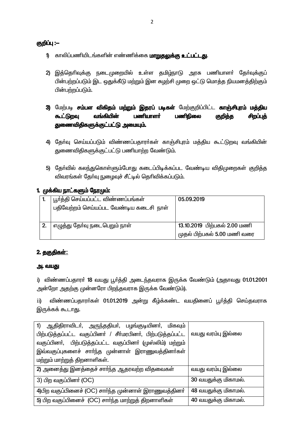#### குறிப்பு :—

- 1) காலிப்பணியிடங்களின் எண்ணிக்கை **மாறுதலுக்கு உட்பட்டது**.
- 2) இத்தெரிவுக்கு நடைமுறையில் உள்ள தமிழ்நாடு அரசு பணியாளா் தோ்வுக்குப் பின்பற்றப்படும் இட ஒதுக்கீடு மற்றும் இன சுழற்சி முறை ஒட்டு மொத்த நியமனத்திற்கும் பின்பற்றப்படும்.
- 3) மேற்படி சம்பள விகிதம் மற்றும் இதரப் படிகள் மேற்குறிப்பிட்ட காஞ்சிபுரம் மத்திய வங்கியின் கூட்டுறவு பணியாளர் பணிநிலை சிறப்புத் குறித்த துணைவிதிகளுக்குட்பட்டு அமையும்.
- 4) தேர்வு செய்யப்படும் விண்ணப்பதாரர்கள் காஞ்சிபுரம் மத்திய கூட்டுறவு வங்கியின் துணைவிதிகளுக்குட்பட்டு பணியாற்ற வேண்டும்.
- 5) தேர்வில் கலந்துகொள்ளும்போது கடைப்பிடிக்கப்பட வேண்டிய விதிமுறைகள் குறித்த விவரங்கள் கேர்வு நுழைவுச் சீட்டில் தெரிவிக்கப்படும்.

#### 1. முக்கிய நாட்களும் நேரமும்:

|    | பூர்த்தி செய்யப்பட்ட விண்ணப்பங்கள்      | 05.09.2019                   |
|----|-----------------------------------------|------------------------------|
|    | பதிவேற்றம் செய்யப்பட வேண்டிய கடைசி நாள் |                              |
|    |                                         |                              |
| 2. | எழுத்து தோ்வு நடைபெறும் நாள்            | 13.10.2019 பிற்பகல் 2.00 மணி |
|    |                                         | முதல் பிற்பகல் 5.00 மணி வரை  |

#### 2. தகுதிகள்:

#### அ. வயது

i) விண்ணப்பதாரா் 18 வயது பூா்த்தி அடைந்தவராக இருக்க வேண்டும் (அதாவது 01.01.2001 அன்றோ அதற்கு முன்னரோ பிறந்தவராக இருக்க வேண்டும்).

விண்ணப்பதாரா்கள் 01.01.2019 அன்று கீழ்க்கண்ட வயதினைப் பூா்த்தி செய்தவராக  $\overline{11}$ இருக்கக் கூடாது.

| 1) ஆதிதிராவிடா், அருந்ததியா், பழங்குடியினா், மிகவும்        |                      |
|-------------------------------------------------------------|----------------------|
| பிற்படுத்தப்பட்ட வகுப்பினா் / சீா்மரபினா், பிற்படுத்தப்பட்ட | வயது வரம்பு இல்லை    |
| வகுப்பினர், பிற்படுத்தப்பட்ட வகுப்பினர் (முஸ்லிம்) மற்றும்  |                      |
| இவ்வகுப்புகளைச் சாா்ந்த முன்னாள் இராணுவத்தினா்கள்           |                      |
| மற்றும் மாற்றுத் திறனாளிகள்.                                |                      |
| 2) அனைத்து இனத்தைச் சார்ந்த ஆதரவற்ற விதவைகள்                | வயது வரம்பு இல்லை    |
| 3) பிற வகுப்பினர் (OC)                                      | 30 வயதுக்கு மிகாமல். |
| 4)பிற வகுப்பினைச் (OC) சார்ந்த முன்னாள் இராணுவத்தினர்       | 48 வயதுக்கு மிகாமல். |
| 5) பிற வகுப்பினைச் (OC) சார்ந்த மாற்றுத் திறனாளிகள்         | 40 வயதுக்கு மிகாமல். |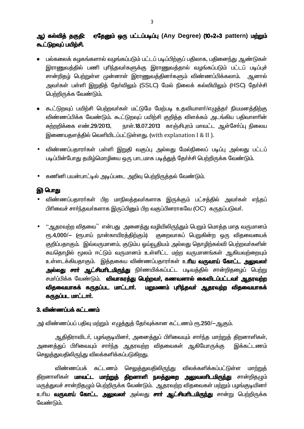#### ஆ) கல்வித் தகுதி: ஏதேனும் ஒரு பட்டப்படிப்பு (Any Degree) (10+2+3 pattern) மற்றும் கூட்டுறவுப் பயிற்சி.

- பல்கலைக் கழகங்களால் வழங்கப்படும் பட்டப் படிப்பிற்குப் பதிலாக, பதினைந்து ஆண்டுகள் இராணுவத்தில் பணி புரிந்தவர்களுக்கு இராணுவத்தால் வழங்கப்படும் பட்டப் படிப்புச் சான்றிதழ் பெற்றுள்ள முன்னாள் இராணுவத்தினா்களும் விண்ணப்பிக்கலாம். அனால் அவர்கள் பள்ளி இறுதித் தேர்விலும் (SSLC) மேல் நிலைக் கல்வியிலும் (HSC) தேர்ச்சி பெற்றிருக்க வேண்டும்.
- கூட்டுறவுப் பயிற்சி பெற்றவர்கள் மட்டுமே மேற்படி உதவியாளர்/எழுத்தர் நியமனத்திற்கு விண்ணப்பிக்க வேண்டும். கூட்டுறவுப் பயிற்சி குறித்த விளக்கம் அடங்கிய பதிவாளரின் நாள்.18.07.2013 காஞ்சிபுரம் மாவட்ட ஆள்சேர்ப்பு நிலைய சுற்றறிக்கை எண்.29/2013, இணையதளத்தில் வெளியிடப்பட்டுள்ளது. (with explanation I & II ).
- விண்ணப்பதாரா்கள் பள்ளி இறுதி வகுப்பு அல்லது மேல்நிலைப் படிப்பு அல்லது பட்டப் படிப்பின்போது தமிழ்மொழியை ஒரு பாடமாக படித்துத் தேர்ச்சி பெற்றிருக்க வேண்டும்.
- கணினி பயன்பாட்டில் அடிப்படை அறிவு பெற்றிருத்தல் வேண்டும்.

#### இ) பொது

- விண்ணப்பதாரா்கள் பிற மாநிலத்தவா்களாக இருக்கும் பட்சத்தில் அவா்கள் எந்தப் பிரிவைச் சார்ந்தவர்களாக இருப்பினும் பிற வகுப்பினராகவே (OC) கருதப்படுவர்.
- ''ஆதரவற்ற விதவை'' என்பது அனைத்து வழியிலிருந்தும் பெறும் மொத்த மாத வருமானம் ரூ.4,000/— (ரூபாய் நான்காயிரக்கிற்கும்) குறைவாகப் பெறுகின்ற ஒரு விதவையைக் குறிப்பதாகும். இவ்வருமானம், குடும்ப ஒய்வூதியம் அல்லது தொழிற்கல்வி பெற்றவர்களின் சுயதொழில் மூலம் ஈட்டும் வருமானம் உள்ளிட்ட மற்ற வருமானங்கள் ஆகியவற்றையும் உள்ளடக்கியதாகும். இத்தகைய விண்ணப்பதாரா்கள் உ**ரிய வருவாய் கோட்ட அலுவலா்** <mark>அல்லது சாா் ஆட்சியாிடமிருந்து</mark> நிா்ணயிக்கப்பட்ட படிவத்தில் சான்றிதமைப் பெற்று சமா்ப்பிக்க வேண்டும். **விவாகரத்து பெற்றவா், கணவனால் கைவிடப்பட்டவா் ஆதரவற்ற** விதவையாகக் கருதப்பட மாட்டார். மறுமணம் புரிந்தவர் ஆதரவற்ற விதவையாகக் கருதப்பட மாட்டார்.

#### 3. விண்ணப்பக் கட்டணம்

அ) விண்ணப்பப் பதிவு மற்றும் எழுத்துத் தோ்வுக்கான கட்டணம் ரூ.250/—ஆகும்.

ஆதிதிராவிடர், பழங்குடியினர், அனைத்துப் பிரிவையும் சார்ந்த மாற்றுத் திறனாளிகள், அனைத்துப் பிரிவையும் சாா்ந்த ஆதரவற்ற விதவைகள் ஆகியோருக்கு இக்கட்டணம் செலுத்துவதிலிருந்து விலக்களிக்கப்படுகிறது.

விண்ணப்பக் கட்டணம் செ<u>லுத்த</u>ுவதிலிரு<u>ந்து</u> விலக்களிக்கப்பட்டுள்ள மாற்றுக் திறனாளிகள் **மாவட்ட மாற்றுத் திறனாளி நலத்துறை அலுவலாிடமிருந்து** சான்றிதழும் மருத்துவச் சான்றிதமும் பெற்றிருக்க வேண்டும். ஆதரவற்ற விதவைகள் மற்றும் பழங்குடியினர் உரிய **வருவாய் கோட்ட அலுவலா்** அல்லது **சாா் ஆட்சியாிடமிருந்து** சான்று பெற்றிருக்க வேண்டும்.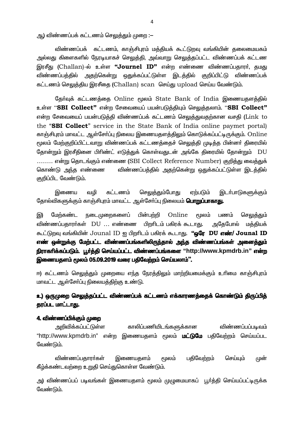ஆ) விண்ணப்பக் கட்டணம் செலுத்தும் முறை :—

விண்ணப்பக் கட்டணம், காஞ்சிபுரம் மத்தியக் கூட்டுறவு வங்கியின் தலைமையகம் அல்லது கிளைகளில் நேரடியாகச் செலுத்தி, அவ்வாறு செலுத்தப்பட்ட விண்ணப்பக் கட்டண இரசீது (Challan)-ல் உள்ள **"Journel ID"** என்ற எண்ணை விண்ணப்பதாரர். தமது விண்ணப்பத்தில் அதற்கென்று ஒதுக்கப்பட்டுள்ள இடத்தில் குறிப்பிட்டு விண்ணப்பக் கட்டணம் செலுத்திய இரசீதை (Challan) scan செய்து upload செய்ய வேண்டும்.

தேர்வுக் கட்டணத்தை Online மூலம் State Bank of India இணையதளத்தில் உள்ள "SBI Collect" என்ற சேவையைப் பயன்படுத்தியும் செலுத்தலாம். "SBI Collect" என்ற சேவையைப் பயன்படுத்தி விண்ணப்பக் கட்டணம் செலுத்துவதற்கான வசதி (Link to the "SBI Collect" service in the State Bank of India online paymet portal) காஞ்சிபுரம் மாவட்ட ஆள்சோ்ப்பு நிலைய இணையதளத்திலும் கொடுக்கப்பட்டிருக்கும். Online மூலம் மேற்குறிப்பிட்டவாறு விண்ணப்பக் கட்டணத்தைச் செலுத்தி முடித்த பின்னா் திரையில் தோன்றும் இரசீதினை பிரிண்ட் எடுத்துக் கொள்வதுடன் அங்கே திரையில் தோன்றும் DU ........ என்று தொடங்கும் எண்ணை (SBI Collect Reference Number) குறித்து வைத்துக் கொண்டு அந்த எண்ணை விண்ணப்பத்தில் அதற்கென்று ஒதுக்கப்பட்டுள்ள இடத்தில் குறிப்பிட வேண்டும்.

கட்டணம் செலுக்தும்போது இணைய வமி ஏற்படும் இடர்பாடுகளுக்கும் தோல்விகளுக்கும் காஞ்சிபுரம் மாவட்ட ஆள்சோ்ப்பு நிலையம் **பொறுப்பாகாது.** 

மேற்கண்ட நடைமுறைகளைப் பின்பற்றி Online ுமலம் பணம் செலுத்தும் இ) விண்ணப்பதாரா்கள் DU ... எண்ணை பிறரிடம் பகிரக் கூடாது. அதேபோல் மத்தியக் கூட்டுறவு வங்கியின் Jounal ID ஐ பிறரிடம் பகிரக் கூடாது. "ஒரே DU எண்/ Jounal ID எண் ஒன்றுக்கு மேற்பட்ட விண்ணப்பங்களிலிருந்தால் அந்த விண்ணப்பங்கள் அனைத்தும் நிராகரிக்கப்படும். பூர்த்தி செய்யப்பட்ட விண்ணப்பங்களை "http://www.kpmdrb.in" என்ற இணையதளம் மூலம் 05.09.2019 வரை பதிவேற்றம் செய்யலாம்''.

ஈ) கட்டணம் செலுத்தும் முறையை எந்த நேரத்திலும் மாற்றியமைக்கும் உரிமை காஞ்சிபுரம் மாவட்ட ஆள்சோ்ப்பு நிலையத்திற்கு உண்டு.

#### உ) ஒருமுறை செலுத்தப்பட்ட விண்ணப்பக் கட்டணம் எக்காரணத்தைக் கொண்டும் திருப்பித் தரப்பட மாட்டாது.

#### 4. விண்ணப்பிக்கும் முறை

அறிவிக்கப்பட்டுள்ள காலிப்பணியிடங்களுக்கான விண்ணப்பப்படிவம் "http://www.kpmdrb.in" என்ற இணையதளம் மூலம் **மட்டுமே** பதிவேற்றம் செய்யப்பட வேண்டும்.

விண்ணப்பதாரா்கள் இணையதளம் பதிவேற்றம் செய்யும் <u> மூலம்</u> முன் கீழ்க்கண்டவற்றை உறுதி செய்துகொள்ள வேண்டும்.

அ) விண்ணப்பப் படிவங்கள் இணையதளம் மூலம் முழுமையாகப் பூா்த்தி செய்யப்பட்டிருக்க வேண்டும்.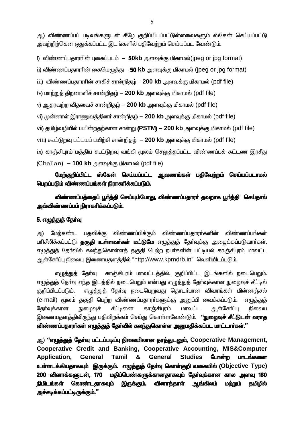ஆ) விண்ணப்பப் படிவங்களுடன் கீழே குறிப்பிடப்பட்டுள்ளவைகளும் ஸ்கேன் செய்யப்பட்டு அவற்றிற்கென கைக்கப்பட்ட இடங்களில் பகிவேற்றம் செய்யப்பட வேண்டும்.

i) விண்ணப்பதாரரின் புகைப்படம் – 50kb அளவுக்கு மிகாமல்(ipeg or ipg format)

ii) விண்ணப்பதாரரின் கையெமுக்கு - 50 kb அளவுக்கு மிகாமல் (ipeg or ipg format)

iii) விண்ணப்பதாரரின் சாதிச் சான்றிதழ் – 200 kb அளவுக்கு மிகாமல் (pdf file)

iv) மாற்றுத் திறனாளிச் சான்றிதழ் - 200 kb அளவுக்கு மிகாமல் (pdf file)

v) ஆதரவற்ற விதவைச் சான்றிதழ் – 200 kb அளவுக்கு மிகாமல் (pdf file)

vi) முன்னாள் இராணுவத்தினா் சான்றிதழ் - 200 kb அளவுக்கு மிகாமல் (pdf file)

vii) தமிழ்வழியில் பயின்றதற்கான சான்று (PSTM) - 200 kb அளவுக்கு மிகாமல் (pdf file)

viii) கூட்டுறவு பட்டயப் பயிற்சி சான்றிதழ் – 200 kb அளவுக்கு மிகாமல் (pdf file)

ix) காஞ்சிபுரம் மத்திய கூட்டுறவு வங்கி மூலம் செலுத்தப்பட்ட விண்ணப்பக் கட்டண இரசீது (Challan) – 100 kb அளவுக்கு மிகாமல் (pdf file)

மேற்குறிப்பிட்ட ஸ்கேன் செய்யப்பட்ட ஆவணங்கள் பதிவேற்றம் செய்யப்படாமல் பெறப்படும் விண்ணப்பங்கள் நிராகரிக்கப்படும்.

விண்ணப்பத்தைப் பூர்த்தி செய்யும்போது, விண்ணப்பதாரர் தவறாக பூர்த்தி செய்தால் அவ்விண்ணப்பம் நிராகரிக்கப்படும்.

#### 5. எழுத்துத் தேர்வு

மேற்கண்ட பகவிக்கு விண்ணப்பிக்கும் விண்ணப்பதாரா்களின் விண்ணப்பங்கள் அ) பாிசீலிக்கப்பட்டு **தகுதி உள்ளவா்கள் மட்டுமே** எழுத்துத் தோ்வுக்கு அழைக்கப்படுவாா்கள். எழுத்துத் தேர்வில் கலந்துகொள்ளத் தகுதி பெற்ற நபர்களின் பட்டியல் காஞ்சிபுரம் மாவட்ட ஆள்சோ்ப்பு நிலைய இணையதளத்தில் "http://www.kpmdrb.in" வெளியிடப்படும்.

எழுத்துத் தோ்வு காஞ்சிபுரம் மாவட்டத்தில், குறிப்பிட்ட இடங்களில் நடைபெறும். எமுக்துக் கேர்வு எந்த இடக்கில் நடைபெறும் என்பது எமுக்துக் கேர்வுக்கான நுழைவுச் சீட்டில் எழுத்துத் தேர்வு நடைபெறுவது தொடர்பான விவரங்கள் மின்னஞ்சல் குறிப்பிடப்படும். (e-mail) மூலம் ககுதி பெற்ற விண்ணப்பதாரர்களுக்கு அனுப்பி வைக்கப்படும். எமுக்குக் காஞ்சிபாம் மாவட்ட ஆள்சோப்பு கேர்வுக்கான நுழைவுச் சீட்டினை நிலைய இணையதளத்திலிருந்து பதிவிறக்கம் செய்து கொள்ளவேண்டும். **''நுமைவச் சீட்டுடன் வராக** விண்ணப்பதாரா்கள் எழுத்துத் தோ்வில் கலந்துகொள்ள அனுமதிக்கப்பட மாட்டாா்கள்."

ஆ) "எழுத்துத் தேர்வு பட்டப்படிப்பு நிலையிலான தரத்துடனும், Cooperative Management, Cooperative Credit and Banking, Cooperative Accounting, MIS&Computer Application, General Tamil & **General Studies** போன்ற பாடங்களை உள்ளடக்கியதாகவும் இருக்கும். எழுத்துத் தேர்வு கொள்குறி வகையில் (Objective Type) 200 வினாக்களுடன், 170 மதிப்பெண்களுக்கானதாகவும் தேர்வுக்கான கால அளவு 180 **நிமிடங்கள்** கொண்டகாகவும் வினாத்தாள் இருக்கும். ஆங்கிலம் மற்றும் கமிமில் <u>அச்சடிக்கப்பட்டிருக்கும்."</u>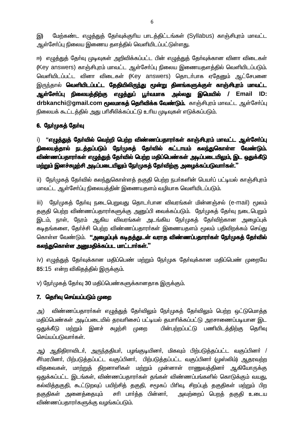மேற்கண்ட எழுத்துத் தேர்வுக்குரிய பாடத்திட்டங்கள் (Syllabus) காஞ்சிபுரம் மாவட்ட இ) ஆள்சோ்ப்பு நிலைய இணைய தளத்தில் வெளியிடப்பட்டுள்ளது.

ஈ) எழுத்துத் தேர்வு முடிவுகள் அறிவிக்கப்பட்ட பின் எழுத்துத் தேர்வுக்கான வினா விடைகள் (Key answers) காஞ்சிபுரம் மாவட்ட ஆள்சோ்ப்பு நிலைய இணையதளத்தில் வெளியிடப்படும். வெளியிடப்பட்ட வினா விடைகள் (Key answers) கொடர்பாக எதேனும் ஆட்சேபனை இருந்தால் **வெளியிடப்பட்ட தேதியிலிருந்து மூன்று தினங்களுக்குள் காஞ்சிபுரம் மாவட்ட** ஆள்சோ்ப்பு நிலையத்திற்கு எழுத்துப் பூா்வமாக அல்லது இமெயில் / Email ID: drbkanchi@gmail.com மூலமாகத் தெரிவிக்க வேண்டும். காஞ்சிபுரம் மாவட்ட ஆள்சோ்ப்பு நிலையக் கூட்டத்தில் அது பரிசீலிக்கப்பட்டு உரிய முடிவுகள் எடுக்கப்படும்.

#### 6. நேர்முகத் தேர்வு

i) "எழுத்துத் தேர்வில் வெற்றி பெற்ற விண்ணப்பதாரர்கள் காஞ்சிபுரம் மாவட்ட ஆள்சேர்ப்பு நிலையத்தால் நடத்தப்படும் நேர்முகத் தேர்வில் கட்டாயம் கலந்துகொள்ள வேண்டும். விண்ணப்பதாரர்கள் எழுத்துத் தேர்வில் பெற்ற மதிப்பெண்கள் அடிப்படையிலும், இட ஒதுக்கீடு மற்றும் இனச்சுழற்சி அடிப்படையிலும் நேர்முகத் தேர்விற்கு அழைக்கப்படுவார்கள்."

ii) நேர்முகத் தேர்வில் கலந்துகொள்ளத் தகுதி பெற்ற நபர்களின் பெயர்ப் பட்டியல் காஞ்சிபுரம் மாவட்ட ஆள்சோ்ப்பு நிலையத்தின் இணையதளம் வழியாக வெளியிடப்படும்.

iii) நேர்முகத் தேர்வு நடைபெறுவது தொடர்பான விவரங்கள் மின்னஞ்சல் (e-mail) மூலம் தகுதி பெற்ற விண்ணப்பதாரா்களுக்கு அனுப்பி வைக்கப்படும். நோ்முகத் தோ்வு நடைபெறும் இடம், நாள், நேரம் ஆகிய விவரங்கள் அடங்கிய நேர்முகத் தேர்விற்கான அழைப்புக் கடிதங்களை, தேர்ச்சி பெற்ற விண்ணப்பதாரர்கள் இணையதளம் மூலம் பதிவிறக்கம் செய்து கொள்ள வேண்டும். **"அமைப்பக் கடிகக்குடன் வராக விண்ணப்பகாரர்கள் நேர்முகக் கேர்வில்** கலந்துகொள்ள அனுமதிக்கப்பட மாட்டார்கள்."

iv) எழுத்துத் தேர்வுக்கான மதிப்பெண் மற்றும் நேர்முக தேர்வுக்கான மதிப்பெண் முறையே 85:15 என்ற விகிகத்தில் இருக்கும்.

v) நேர்முகத் தேர்வு 30 மதிப்பெண்களுக்கானதாக இருக்கும்.

#### 7. தெரிவு செய்யப்படும் முறை

விண்ணப்பதாரா்கள் எழுத்துத் தோ்விலும் நோ்முகத் தோ்விலும் பெற்ற ஒட்டுமொத்த அ) மதிப்பெண்கள் அடிப்படையில் தரவரிசைப் பட்டியல் தயாரிக்கப்பட்டு அரசாணைப்படியான இட ஒதுக்கீடு மற்றும் இனச் சுழற்சி முறை பின்பற்றப்பட்டு பணியிடத்திற்கு கெரிவு செய்யப்படுவார்கள்.

ஆ) ஆதிதிராவிடா், அருந்ததியா், பழங்குடியினா், மிகவும் பிற்படுத்தப்பட்ட வகுப்பினா் / சீர்மரபினர், பிற்படுத்தப்பட்ட வகுப்பினர், பிற்படுத்தப்பட்ட வகுப்பினர் (முஸ்லிம்) ஆதரவற்ற விதவைகள், மாற்றுத் திறனாளிகள் மற்றும் முன்னாள் ராணுவத்தினா் ஆகியோருக்கு ஒதுக்கப்பட்ட இடங்கள், விண்ணப்பதாரா்கள் தங்கள் விண்ணப்பங்களில் கொடுக்கும் வயது, கல்வித்தகுதி, கூட்டுறவுப் பயிற்சித் தகுதி, சமூகப் பிரிவு, சிறப்புத் தகுதிகள் மற்றும் பிற குகுதிகள் அனைக்கையும் சரி பார்த்த பின்னர். அவற்றைப் பெறத் தகுதி உடைய விண்ணப்பதாரா்களுக்கு வழங்கப்படும்.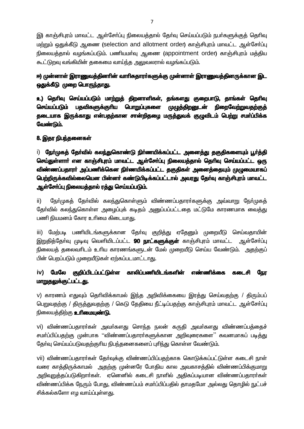இ) காஞ்சிபுரம் மாவட்ட ஆள்சோ்ப்பு நிலையத்தால் தோ்வு செய்யப்படும் நபா்களுக்குத் தொிவு மற்றும் ஒதுக்கீடு ஆணை (selection and allotment order) காஞ்சிபுரம் மாவட்ட ஆள்சோ்ப்பு நிலையத்தால் வழங்கப்படும். பணியமா்வு ஆணை (appointment order) காஞ்சிபுரம் மத்திய கூட்டுறவு வங்கியின் தகைமை வாய்ந்த அலுவலரால் வழங்கப்படும்.

## ஈ) முன்னாள் இராணுவத்தினாின் வாாிசுதாரா்களுக்கு முன்னாள் இராணுவத்தினருக்கான இட ஒதுக்கீடு முறை பொருந்தாது.

உ) தெரிவு செய்யப்படும் மாற்றுத் திறனாளிகள், தங்களது குறைபாடு, தாங்கள் தெரிவு செய்யப்படும் பதவிகளுக்குரிய பொறுப்புகளை முழுத்திறனுடன் **நிறைவேற்றுவதற்குத்** தடையாக இருக்காது என்பதற்கான சான்றிதழை மருத்துவக் குழுவிடம் பெற்று சமா்ப்பிக்க வேண்டும்.

### 8. இதர நிபந்தனைகள்

i) நோ்முகத் தோ்வில் கலந்துகொண்டு நிா்ணயிக்கப்பட்ட அனைத்து தகுதிகளையும் பூா்த்தி செய்துள்ளார் என காஞ்சிபுரம் மாவட்ட ஆள்சேர்ப்பு நிலையத்தால் தெரிவு செய்யப்பட்ட ஒரு விண்ணப்பதாரா் அப்பணிக்கென நிா்ணயிக்கப்பட்ட தகுதிகள் அனைத்தையும் முழுமையாகப் பெற்றிருக்கவில்லையென பின்னா் கண்டுபிடிக்கப்பட்டால் அவரது தோ்வு காஞ்சிபுரம் மாவட்ட ஆள்சோ்ப்பு நிலையத்தால் ரத்து செய்யப்படும்.

 $\mathsf{ii}$ நோ்முகத் தோ்வில் கலந்துகொள்ளும் விண்ணப்பதாரா்களுக்கு அவ்வாறு நோ்முகத் தேர்வில் கலந்துகொள்ள அழைப்புக் கடிதம் அனுப்பப்பட்டதை மட்டுமே காரணமாக வைத்து பணி நியமனம் கோர உரிமை கிடையாது.

மேற்படி பணியிடங்களுக்கான தேர்வு குறித்து ஏதேனும் முறையீடு செய்வதாயின் iii) இறுதித்தோ்வு முடிவு வெளியிடப்பட்ட **90 நாட்களுக்குள்** காஞ்சிபுரம் மாவட்ட \_ஆள்சோப்பு நிலையக் தலைவரிடம் உரிய காரணங்களுடன் மேல் முறையீடு செய்ய வேண்டும். அதற்குப் பின் பெறப்படும் முறையீடுகள் ஏற்கப்படமாட்டாது.

#### iv) மேலே குறிப்பிடப்பட்டுள்ள காலிப்பணியிடங்களின் எண்ணிக்கை நேர கடைசி <u>மாறுதலுக்குட்பட்டது.</u>

v) காரணம் எதுவும் தெரிவிக்காமல் இந்த அறிவிக்கையை இரத்து செய்வதற்கு / திரும்பப் பெறுவதற்கு / திருத்துவதற்கு / கெடு தேதியை நீட்டிப்பதற்கு காஞ்சிபுரம் மாவட்ட ஆள்சோப்பு நிலையத்திற்கு **உரிமையுண்டு.** 

vi) விண்ணப்பதாரர்கள் அவர்களது சொந்த நலன் கருதி அவர்களது விண்ணப்பத்தைச் சமா்ப்பிப்பதற்கு முன்பாக ''விண்ணப்பதாரா்களுக்கான அறிவுரைகளை'' கவனமாகப் படித்து தேர்வு செய்யப்படுவதற்குரிய நிபந்தனைகளைப் புரிந்து கொள்ள வேண்டும்.

vii) விண்ணப்பதாரா்கள் தோ்வுக்கு விண்ணப்பிப்பதற்காக கொடுக்கப்பட்டுள்ள கடைசி நாள் வரை காத்திருக்காமல் அதற்கு முன்னரே போதிய கால அவகாசத்தில் விண்ணப்பிக்குமாறு அறிவறுத்தப்படுகிறாா்கள். ஏனெனில் கடைசி நாளில் அதிகப்படியான விண்ணப்பதாரா்கள் விண்ணப்பிக்க நேரும் போது, விண்ணப்பம் சமா்ப்பிப்பதில் தாமதமோ அல்லது தொழில் நுட்பச் சிக்கல்களோ எழ வாய்ப்புள்ளது.